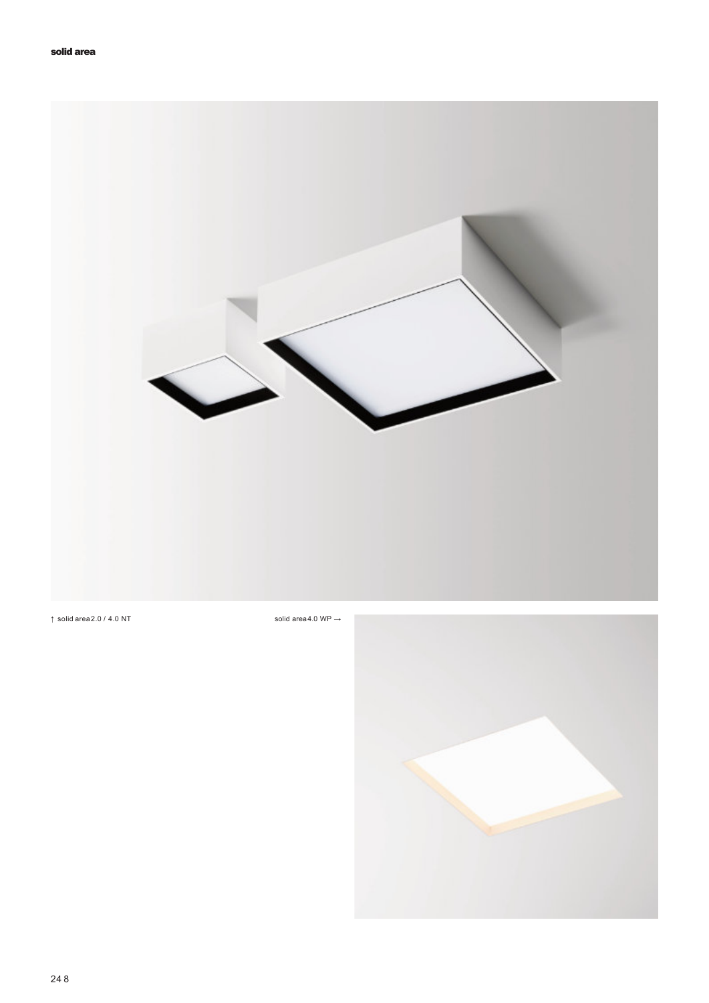

↑ solid area $2.0 / 4.0$  NT solid area $4.0$  WP  $\rightarrow$ 

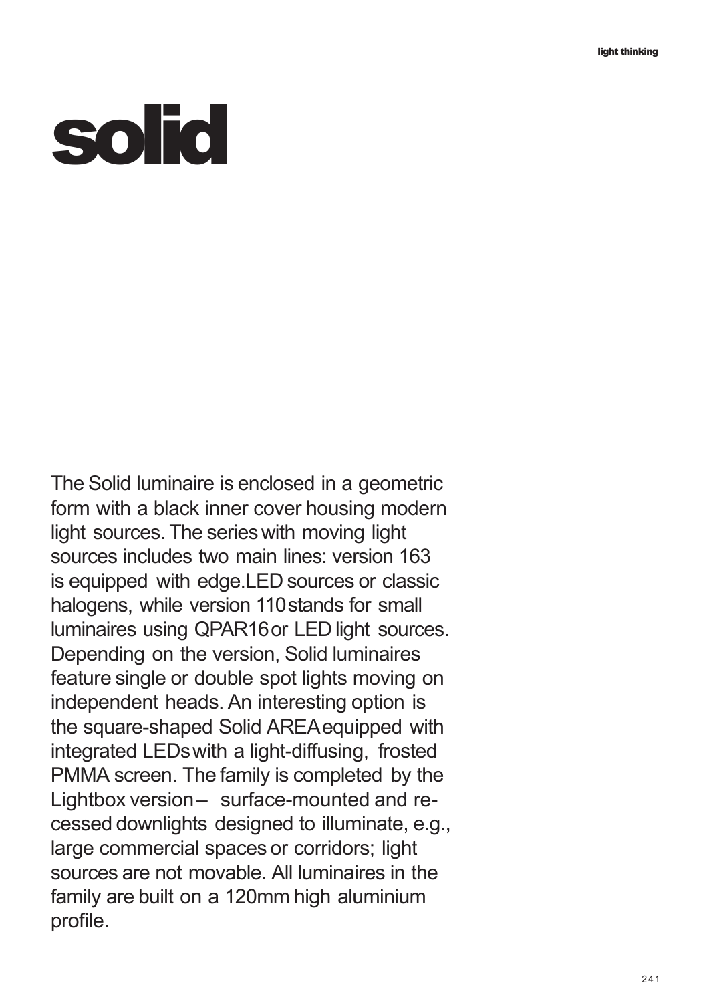## **solid**

The Solid luminaire is enclosed in a geometric form with a black inner cover housing modern light sources. The series with moving light sources includes two main lines: version 163 is equipped with edge.LED sources or classic halogens, while version 110stands for small luminaires using QPAR16or LED light sources. Depending on the version, Solid luminaires feature single or double spot lights moving on independent heads. An interesting option is the square-shaped Solid AREAequipped with integrated LEDswith a light-diffusing, frosted PMMA screen. The family is completed by the Lightbox version– surface-mounted and recessed downlights designed to illuminate, e.g., large commercial spaces or corridors; light sources are not movable. All luminaires in the family are built on a 120mm high aluminium profile.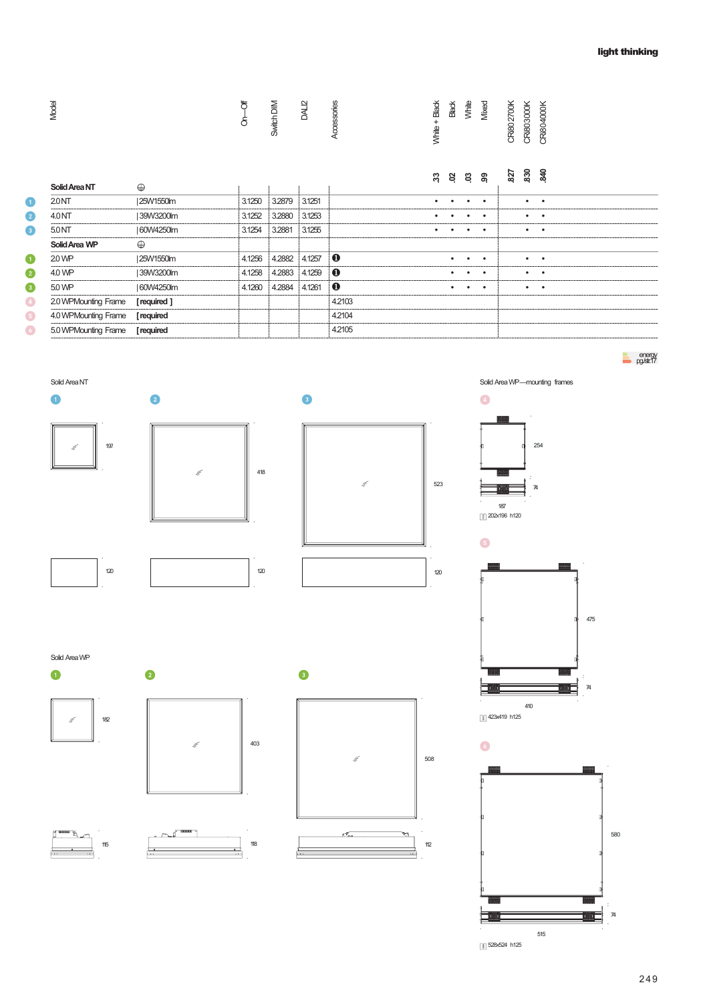| Model                    |                       | す<br>G<br>G | Switch DIM | DAL <sub>12</sub> | Accessories | White + Black | <b>Black</b> | White     | Mixed                  | CRI80 2700K             | CRi803000K             | <b>CRI804000K</b>             |     |     |
|--------------------------|-----------------------|-------------|------------|-------------------|-------------|---------------|--------------|-----------|------------------------|-------------------------|------------------------|-------------------------------|-----|-----|
|                          |                       |             |            |                   |             | ಜ             | 8            | ឌ ន       |                        | 827                     | 830                    | 3g                            |     |     |
| Solid Area NT            | $\oplus$              |             |            |                   |             |               |              |           |                        |                         |                        |                               |     |     |
| 2.0 <sub>NT</sub>        | 25W1550lm             | 3.1250      | 3.2879     | 3.1251<br>3.1253  |             | $\bullet$     |              | ٠         | $\bullet$<br>$\bullet$ |                         | $\bullet$              | $\sim$<br>$\bullet$           |     |     |
| 4.0 NT                   | 39W3200lm             | 3.1252      | 3.2880     |                   |             | $\bullet$     |              |           |                        |                         | $\bullet$<br>$\bullet$ | $\blacksquare$                |     |     |
| $5.0NT$<br>Solid Area WP | 60W4250lm<br>$\oplus$ | 3.1254      | 3.2881     | 3.1255            |             |               |              | ٠         | $\bullet$              |                         |                        |                               |     |     |
| 2.0 WP                   | 25W1550lm             | 4.1256      | 4.2882     | 4.1257            | $\mathbf 0$ |               | $\bullet$    | ٠         | $\bullet$              |                         | $\bullet$              | $\sim$                        |     |     |
| 4.0 WP                   | 39W3200lm             | 4.1258      | 4.2883     | 4.1259            | $\mathbf 0$ |               | ٠            |           | $\bullet$              |                         | $\bullet$              | $\bullet$                     |     |     |
| $5.0$ WP                 | 60W4250lm             | 4.1260      | 4.2884     | 4.1261            | $\mathbf 0$ |               | $\bullet$    | $\bullet$ | $\bullet$              |                         | $\bullet$              | $\blacksquare$                |     |     |
| 2.0 WPMounting Frame     | [required]            |             |            |                   | 4.2103      |               |              |           |                        |                         |                        |                               |     |     |
| 4.0 WPMounting Frame     | [required             |             |            |                   | 4.2104      |               |              |           |                        |                         |                        |                               |     |     |
| 5.0 WPMounting Frame     | [required             |             |            |                   | 4.2105      |               |              |           |                        |                         |                        |                               |     |     |
| Solid Area NT<br>O       | $\bullet$             |             |            | $\bullet$         |             |               |              |           | $\bullet$              |                         |                        | Solid Area WP-mounting frames |     |     |
| 197<br>t                 | t,                    | 418         |            |                   | t,          | 523           |              |           | $\bullet$              | 187<br>[F] 202x196 h120 |                        | 254<br>74                     |     |     |
| 120                      |                       | 120         |            |                   |             | 120           |              |           |                        |                         |                        |                               | 475 |     |
| Solid Area WP<br>O       | 2                     |             |            | ❸                 |             |               |              |           |                        |                         |                        |                               |     |     |
| 182<br>t                 | t                     | 403         |            |                   | t,          | 508           |              |           | $\epsilon$             | [8] 423x419 h125        | 410                    |                               |     |     |
| 115                      |                       | $118$       |            |                   |             | $112$         |              |           |                        |                         |                        |                               |     | 580 |

74

티

515

528x524 h125

目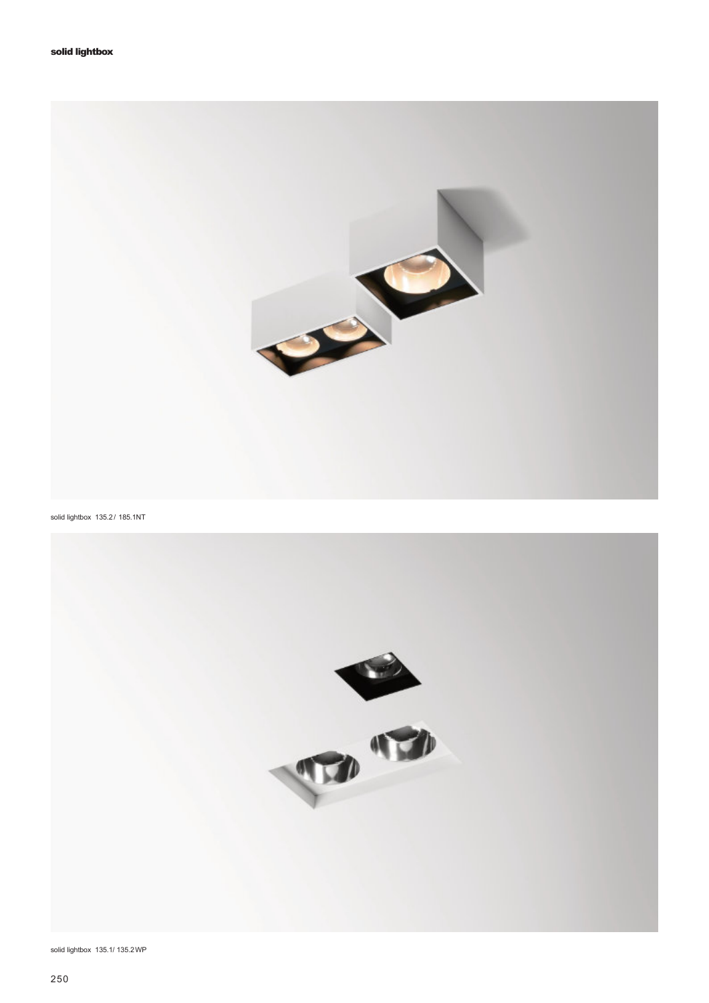

solid lightbox 135.2 / 185.1NT